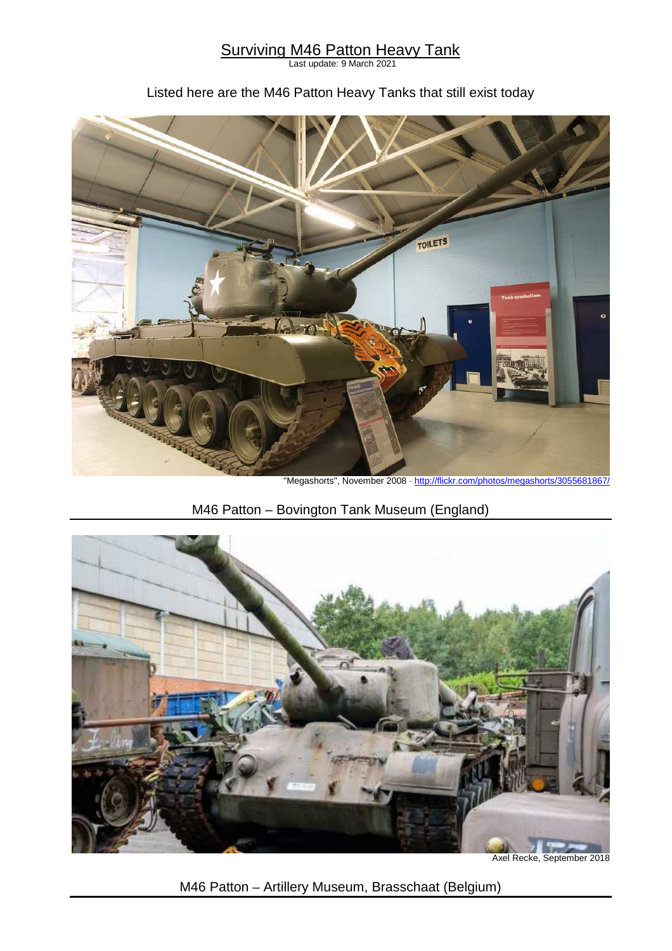#### **Surviving M46 Patton Heavy Tank**

Last update: 9 March 2021

#### Listed here are the M46 Patton Heavy Tanks that still exist today



"Megashorts", November 2008 - http://flickr.com/photos/megashorts/3055681867/

# M46 Patton – Bovington Tank Museum (England)



Axel Recke, September 2018

M46 Patton – Artillery Museum, Brasschaat (Belgium)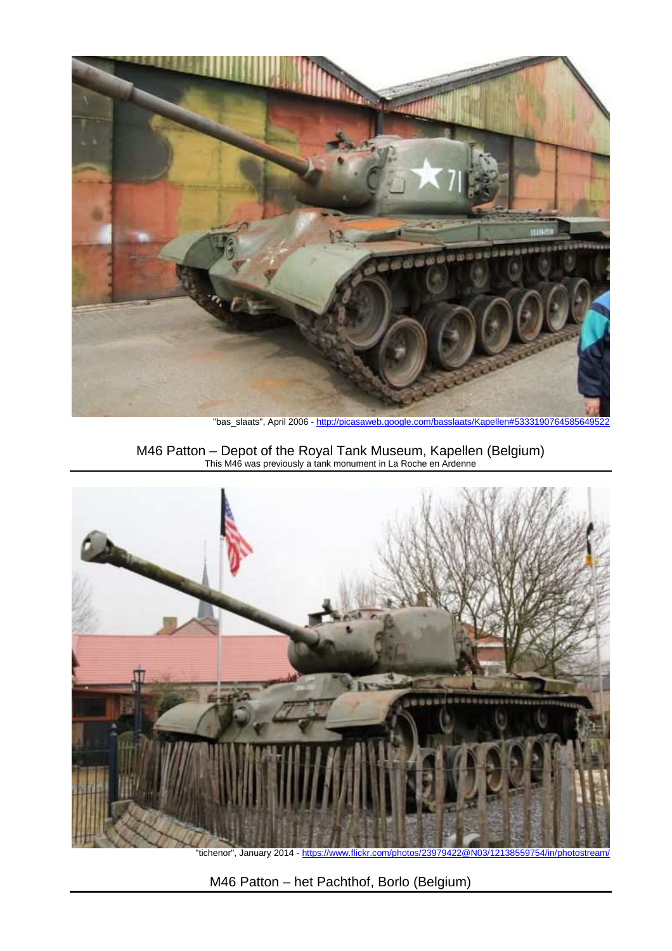

"bas\_slaats", April 2006 - http://picasaweb.google.com/basslaats/Kapellen#53331907645856495

M46 Patton – Depot of the Royal Tank Museum, Kapellen (Belgium) This M46 was previously a tank monument in La Roche en Ardenne



"tichenor", January 2014 - https://www.flickr.com/photos/23979422@N03/12138559754/in/photostream/

M46 Patton – het Pachthof, Borlo (Belgium)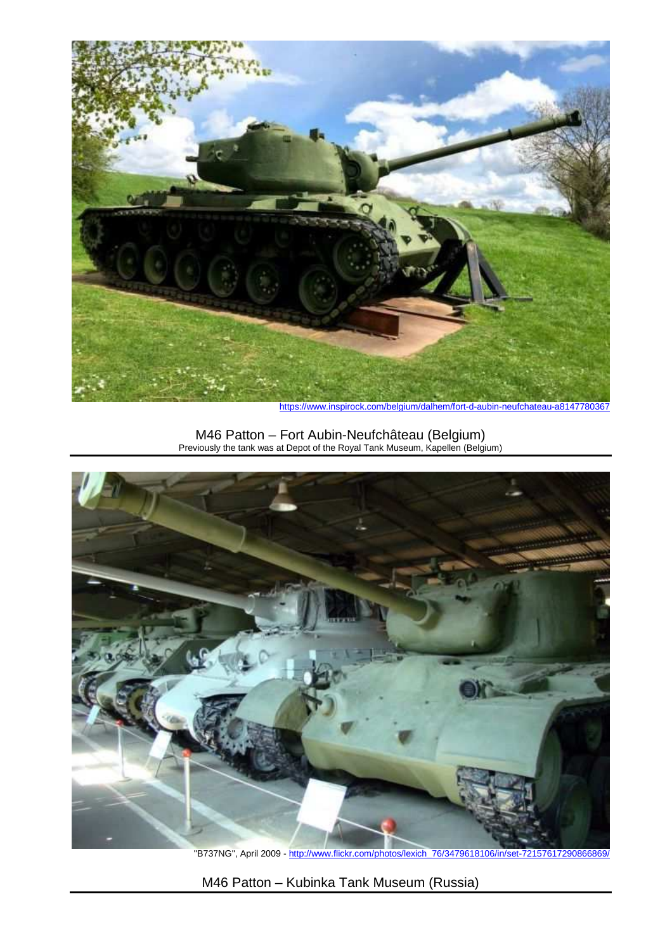

https://www.inspirock.com/belgium/dalhem/fort-d-aubin-neufchateau-a8147780367

M46 Patton – Fort Aubin-Neufchâteau (Belgium) Previously the tank was at Depot of the Royal Tank Museum, Kapellen (Belgium)



"B737NG", April 2009 - http://www.flickr.com/photos/lexich\_76/3479618106/in/set-72157617290866869/

M46 Patton – Kubinka Tank Museum (Russia)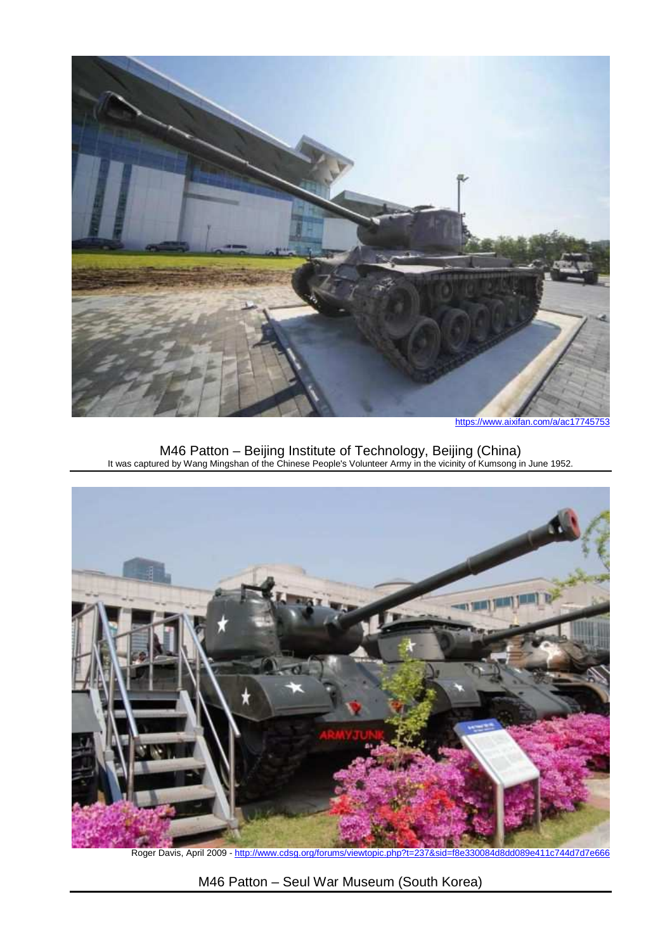

https://www.aixifan.com/a/ac17745753

M46 Patton – Beijing Institute of Technology, Beijing (China) It was captured by Wang Mingshan of the Chinese People's Volunteer Army in the vicinity of Kumsong in June 1952.



Roger Davis, April 2009 - http://www.cdsg.org/forums/viewtopic.php?t=237&sid=f8e330084d8dd089e411c744d7d7e666

M46 Patton – Seul War Museum (South Korea)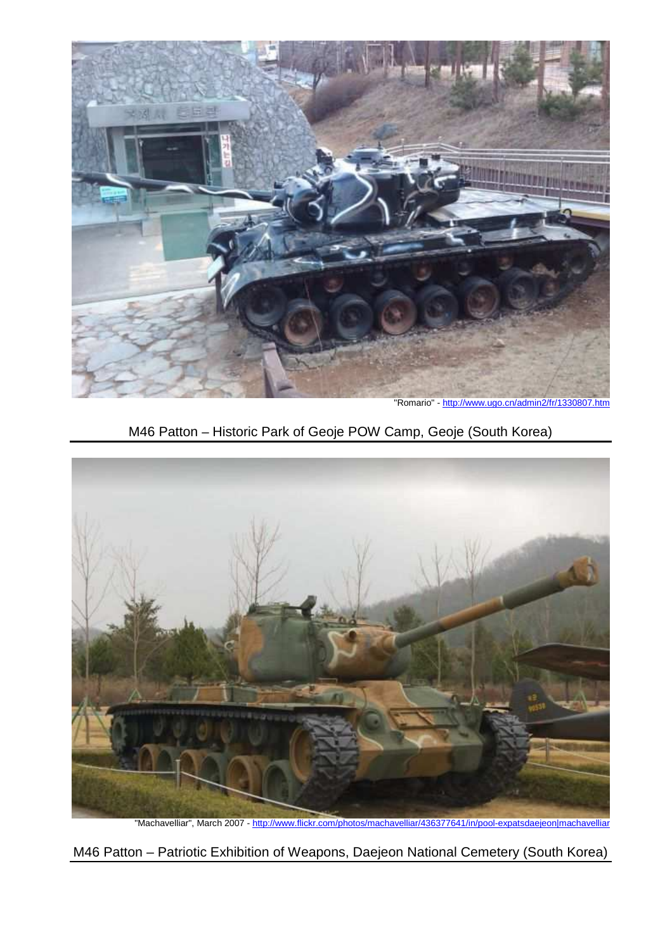

"Romario" - http://www.ugo.cn/admin2/fr/1330807.htm





"Machavelliar", March 2007 - http://www.flickr.com/photos/machavelliar/436377641/in/pool-expatsdaejeon|machavelliar

M46 Patton – Patriotic Exhibition of Weapons, Daejeon National Cemetery (South Korea)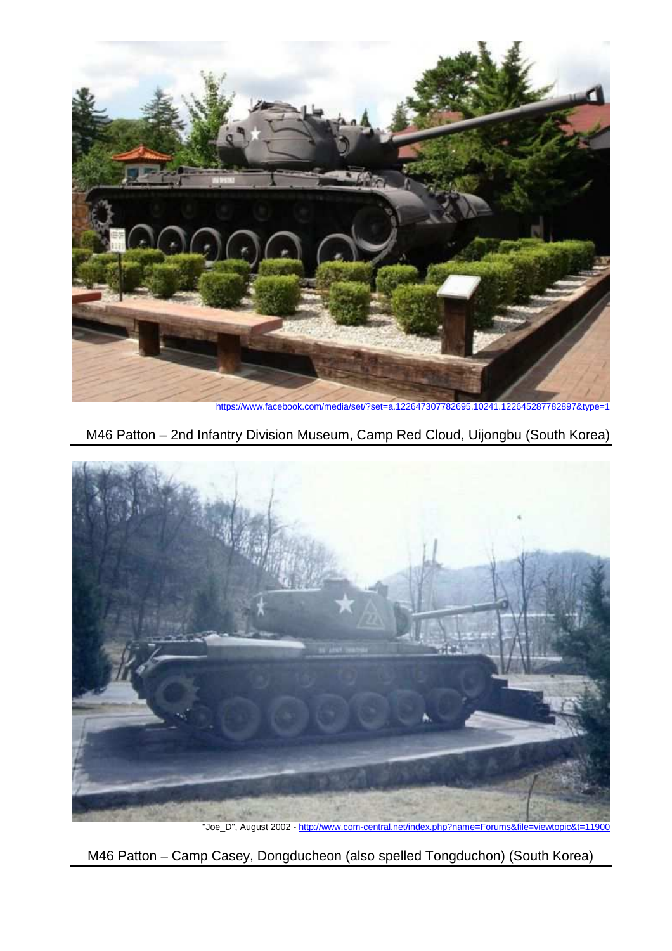

https://www.facebook.com/media/set/?set=a.122647307782695.10241.122645287782897&type=1





"Joe\_D", August 2002 - http://www.com-central.net/index.php?name=Forums&file=viewtopic&t=11900

M46 Patton – Camp Casey, Dongducheon (also spelled Tongduchon) (South Korea)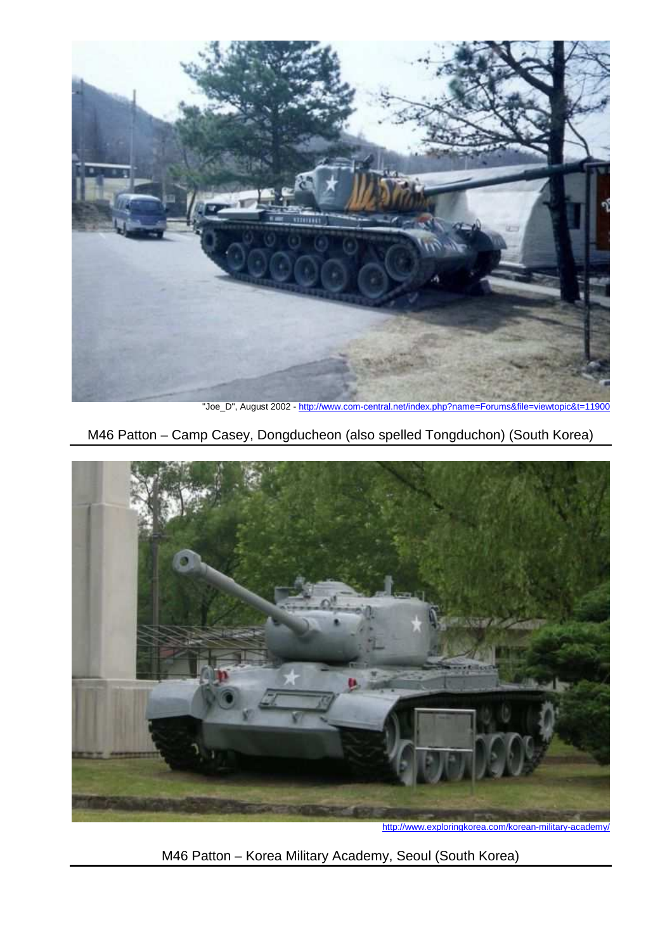

"Joe\_D", August 2002 - http://www.com-central.net/index.php?name=Forums&file=viewtopic&t=11900

M46 Patton – Camp Casey, Dongducheon (also spelled Tongduchon) (South Korea)



http://www.exploringkorea.com/korean-military-academy/

M46 Patton – Korea Military Academy, Seoul (South Korea)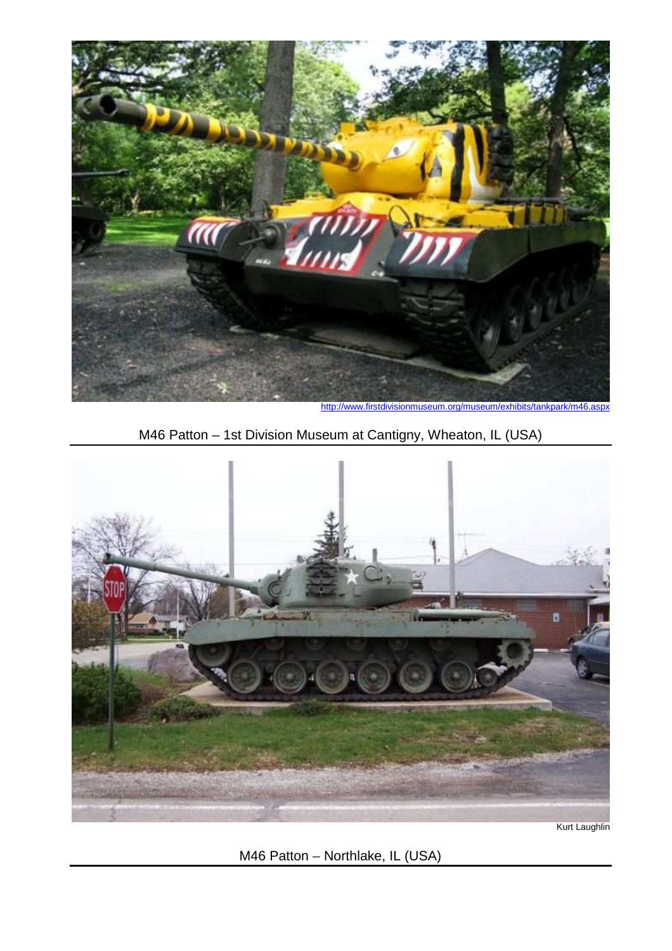

http://www.firstdivisionmuseum.org/museum/exhibits/tankpark/m46.aspx





Kurt Laughlin

M46 Patton – Northlake, IL (USA)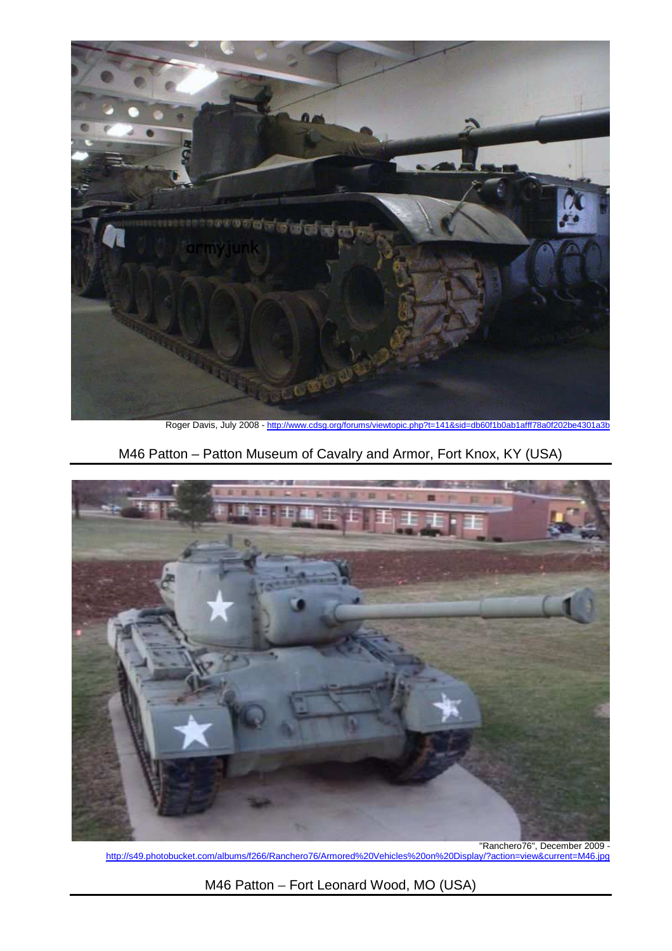

Roger Davis, July 2008 - http://www.cdsg.org/forums/viewtopic.php?t=141&sid=db60f1b0ab1afff78a0f202be4301a3b

# M46 Patton – Patton Museum of Cavalry and Armor, Fort Knox, KY (USA)



"Ranchero76", December 2009 - <u>http://s49.photobucket.com/albums/f266/Ranchero76/Armored%20Vehicles%20on%20Display/?action=view&current=M46.jpg</u>

M46 Patton – Fort Leonard Wood, MO (USA)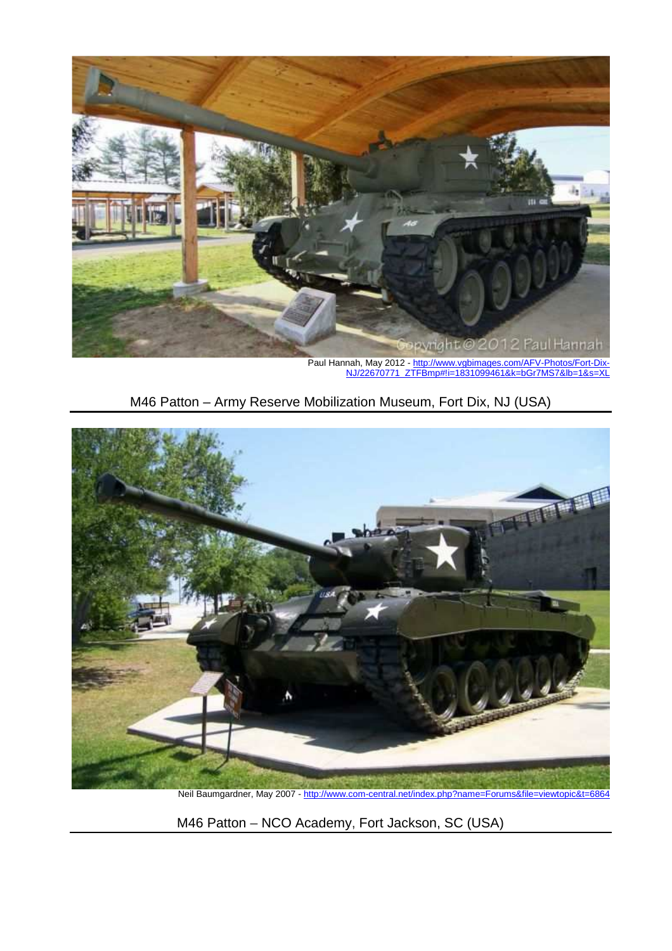

M46 Patton – Army Reserve Mobilization Museum, Fort Dix, NJ (USA)



Neil Baumgardner, May 2007 - http://www.com-central.net/index.php?name=Forums&file=viewtopic&t=6864

M46 Patton – NCO Academy, Fort Jackson, SC (USA)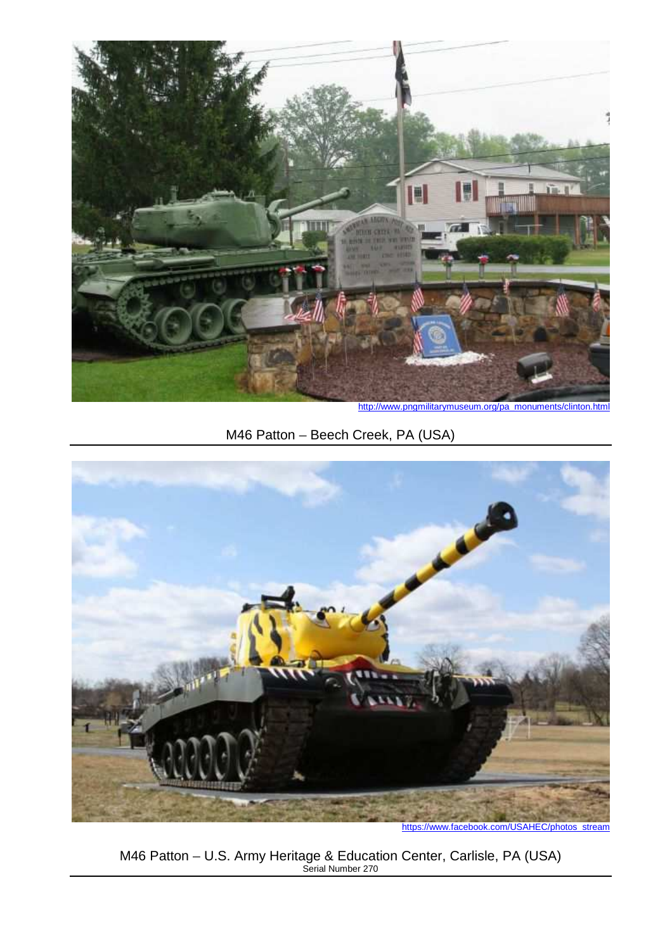

http://www.pngmilitarymuseum.org/pa\_monuments/clinton.html

# M46 Patton – Beech Creek, PA (USA)



https://www.facebook.com/USAHEC/photos\_stream

M46 Patton – U.S. Army Heritage & Education Center, Carlisle, PA (USA) Serial Number 270